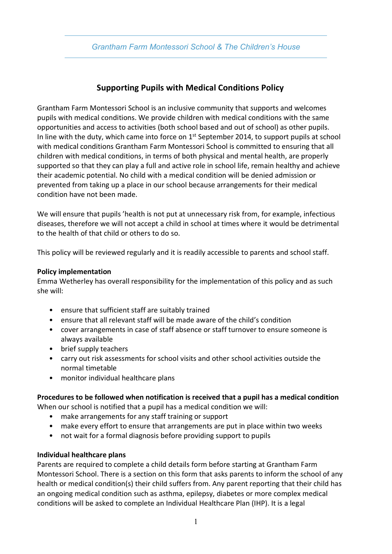# **Supporting Pupils with Medical Conditions Policy**

Grantham Farm Montessori School is an inclusive community that supports and welcomes pupils with medical conditions. We provide children with medical conditions with the same opportunities and access to activities (both school based and out of school) as other pupils. In line with the duty, which came into force on 1<sup>st</sup> September 2014, to support pupils at school with medical conditions Grantham Farm Montessori School is committed to ensuring that all children with medical conditions, in terms of both physical and mental health, are properly supported so that they can play a full and active role in school life, remain healthy and achieve their academic potential. No child with a medical condition will be denied admission or prevented from taking up a place in our school because arrangements for their medical condition have not been made.

We will ensure that pupils 'health is not put at unnecessary risk from, for example, infectious diseases, therefore we will not accept a child in school at times where it would be detrimental to the health of that child or others to do so.

This policy will be reviewed regularly and it is readily accessible to parents and school staff.

#### **Policy implementation**

Emma Wetherley has overall responsibility for the implementation of this policy and as such she will:

- ensure that sufficient staff are suitably trained
- ensure that all relevant staff will be made aware of the child's condition
- cover arrangements in case of staff absence or staff turnover to ensure someone is always available
- brief supply teachers
- carry out risk assessments for school visits and other school activities outside the normal timetable
- monitor individual healthcare plans

### **Procedures to be followed when notification is received that a pupil has a medical condition**

When our school is notified that a pupil has a medical condition we will:

- make arrangements for any staff training or support
- make every effort to ensure that arrangements are put in place within two weeks
- not wait for a formal diagnosis before providing support to pupils

#### **Individual healthcare plans**

Parents are required to complete a child details form before starting at Grantham Farm Montessori School. There is a section on this form that asks parents to inform the school of any health or medical condition(s) their child suffers from. Any parent reporting that their child has an ongoing medical condition such as asthma, epilepsy, diabetes or more complex medical conditions will be asked to complete an Individual Healthcare Plan (IHP). It is a legal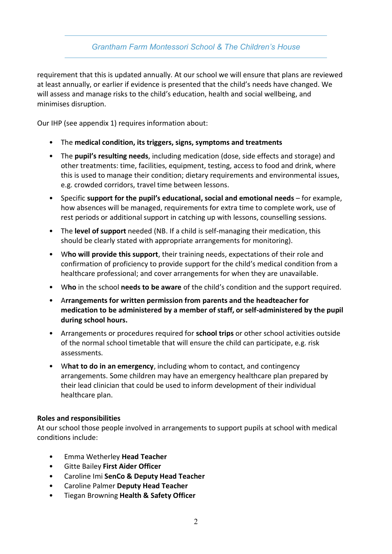requirement that this is updated annually. At our school we will ensure that plans are reviewed at least annually, or earlier if evidence is presented that the child's needs have changed. We will assess and manage risks to the child's education, health and social wellbeing, and minimises disruption.

Our IHP (see appendix 1) requires information about:

- The **medical condition, its triggers, signs, symptoms and treatments**
- The **pupil's resulting needs**, including medication (dose, side effects and storage) and other treatments: time, facilities, equipment, testing, access to food and drink, where this is used to manage their condition; dietary requirements and environmental issues, e.g. crowded corridors, travel time between lessons.
- Specific **support for the pupil's educational, social and emotional needs** for example, how absences will be managed, requirements for extra time to complete work, use of rest periods or additional support in catching up with lessons, counselling sessions.
- The **level of support** needed (NB. If a child is self-managing their medication, this should be clearly stated with appropriate arrangements for monitoring).
- W**ho will provide this support**, their training needs, expectations of their role and confirmation of proficiency to provide support for the child's medical condition from a healthcare professional; and cover arrangements for when they are unavailable.
- W**ho** in the school **needs to be aware** of the child's condition and the support required.
- A**rrangements for written permission from parents and the headteacher for medication to be administered by a member of staff, or self-administered by the pupil during school hours.**
- Arrangements or procedures required for **school trips** or other school activities outside of the normal school timetable that will ensure the child can participate, e.g. risk assessments.
- W**hat to do in an emergency**, including whom to contact, and contingency arrangements. Some children may have an emergency healthcare plan prepared by their lead clinician that could be used to inform development of their individual healthcare plan.

#### **Roles and responsibilities**

At our school those people involved in arrangements to support pupils at school with medical conditions include:

- Emma Wetherley **Head Teacher**
- Gitte Bailey **First Aider Officer**
- Caroline Imi **SenCo & Deputy Head Teacher**
- Caroline Palmer **Deputy Head Teacher**
- Tiegan Browning **Health & Safety Officer**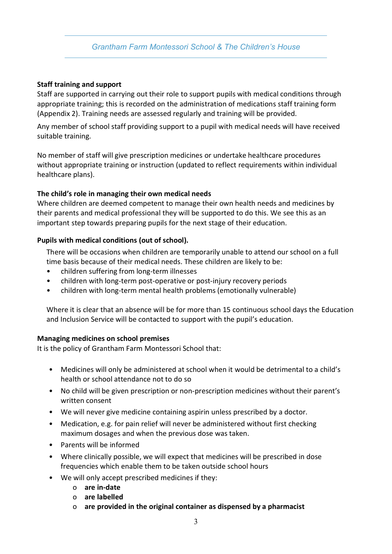#### **Staff training and support**

Staff are supported in carrying out their role to support pupils with medical conditions through appropriate training; this is recorded on the administration of medications staff training form (Appendix 2). Training needs are assessed regularly and training will be provided.

Any member of school staff providing support to a pupil with medical needs will have received suitable training.

No member of staff will give prescription medicines or undertake healthcare procedures without appropriate training or instruction (updated to reflect requirements within individual healthcare plans).

#### **The child's role in managing their own medical needs**

Where children are deemed competent to manage their own health needs and medicines by their parents and medical professional they will be supported to do this. We see this as an important step towards preparing pupils for the next stage of their education.

### **Pupils with medical conditions (out of school).**

There will be occasions when children are temporarily unable to attend our school on a full time basis because of their medical needs. These children are likely to be:

- children suffering from long-term illnesses
- children with long-term post-operative or post-injury recovery periods
- children with long-term mental health problems (emotionally vulnerable)

Where it is clear that an absence will be for more than 15 continuous school days the Education and Inclusion Service will be contacted to support with the pupil's education.

#### **Managing medicines on school premises**

It is the policy of Grantham Farm Montessori School that:

- Medicines will only be administered at school when it would be detrimental to a child's health or school attendance not to do so
- No child will be given prescription or non-prescription medicines without their parent's written consent
- We will never give medicine containing aspirin unless prescribed by a doctor.
- Medication, e.g. for pain relief will never be administered without first checking maximum dosages and when the previous dose was taken.
- Parents will be informed
- Where clinically possible, we will expect that medicines will be prescribed in dose frequencies which enable them to be taken outside school hours
- We will only accept prescribed medicines if they:
	- o **are in-date**
	- o **are labelled**
	- o **are provided in the original container as dispensed by a pharmacist**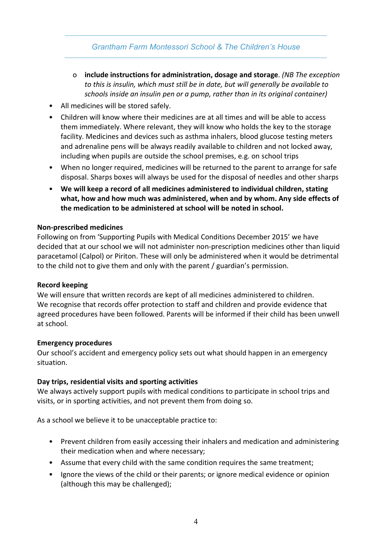- o **include instructions for administration, dosage and storage**. *(NB The exception to this is insulin, which must still be in date, but will generally be available to schools inside an insulin pen or a pump, rather than in its original container)*
- All medicines will be stored safely.
- Children will know where their medicines are at all times and will be able to access them immediately. Where relevant, they will know who holds the key to the storage facility. Medicines and devices such as asthma inhalers, blood glucose testing meters and adrenaline pens will be always readily available to children and not locked away, including when pupils are outside the school premises, e.g. on school trips
- When no longer required, medicines will be returned to the parent to arrange for safe disposal. Sharps boxes will always be used for the disposal of needles and other sharps
- **We will keep a record of all medicines administered to individual children, stating what, how and how much was administered, when and by whom. Any side effects of the medication to be administered at school will be noted in school.**

### **Non-prescribed medicines**

Following on from 'Supporting Pupils with Medical Conditions December 2015' we have decided that at our school we will not administer non-prescription medicines other than liquid paracetamol (Calpol) or Piriton. These will only be administered when it would be detrimental to the child not to give them and only with the parent / guardian's permission.

#### **Record keeping**

We will ensure that written records are kept of all medicines administered to children. We recognise that records offer protection to staff and children and provide evidence that agreed procedures have been followed. Parents will be informed if their child has been unwell at school.

#### **Emergency procedures**

Our school's accident and emergency policy sets out what should happen in an emergency situation.

#### **Day trips, residential visits and sporting activities**

We always actively support pupils with medical conditions to participate in school trips and visits, or in sporting activities, and not prevent them from doing so.

As a school we believe it to be unacceptable practice to:

- Prevent children from easily accessing their inhalers and medication and administering their medication when and where necessary;
- Assume that every child with the same condition requires the same treatment;
- Ignore the views of the child or their parents; or ignore medical evidence or opinion (although this may be challenged);